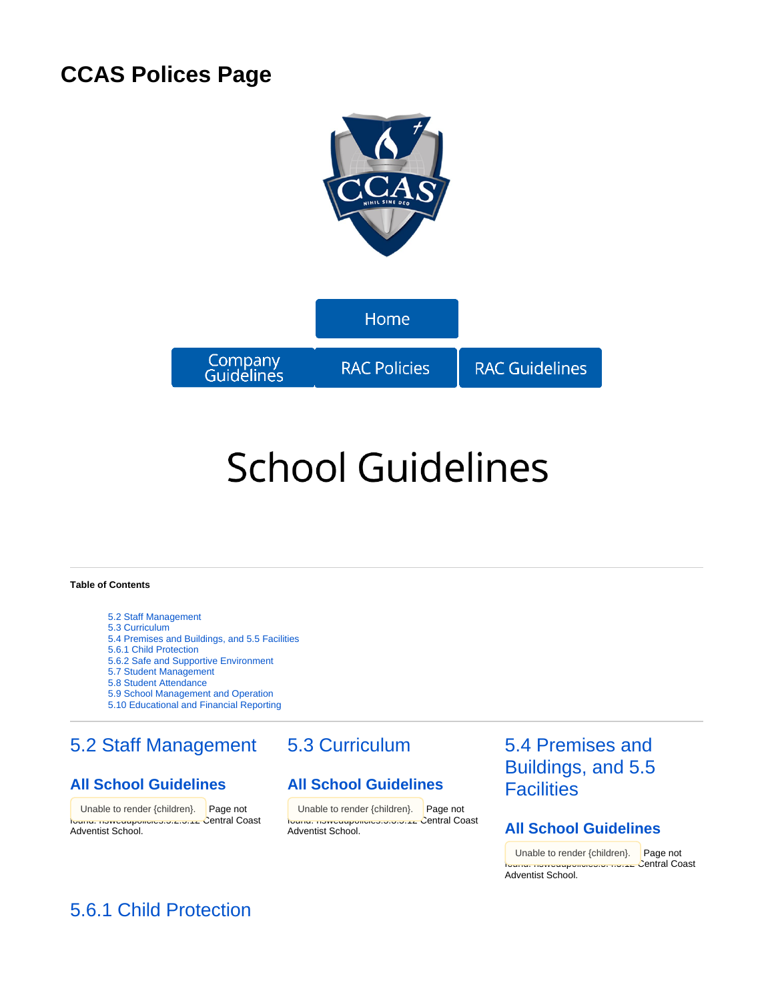## **CCAS Polices Page**



# **School Guidelines**

#### **Table of Contents**

- [5.2 Staff Management](#page-0-0)
- [5.3 Curriculum](#page-0-0)
- [5.4 Premises and Buildings, and 5.5 Facilities](#page-0-0)
- [5.6.1 Child Protection](#page-0-1)
- [5.6.2 Safe and Supportive Environment](#page-1-0)
- [5.7 Student Management](#page-1-0)
- [5.8 Student Attendance](#page-1-1)
- [5.9 School Management and Operation](#page-1-1)
- [5.10 Educational and Financial Reporting](#page-1-1)

## <span id="page-0-0"></span>[5.2 Staff Management](https://confluence.adventist.edu.au/pages/viewpage.action?pageId=2752601)

#### **[All School Guidelines](https://confluence.adventist.edu.au/display/nsweduintranet/RAC+-+Guideline+Comparison+5.2+Staff+Management)**

Unable to render {children}. Page not found: nswedupolicies:5.2.5.12 Central Coast Adventist School.

## [5.3 Curriculum](https://confluence.adventist.edu.au/pages/viewpage.action?pageId=2752593)

#### **[All School Guidelines](https://confluence.adventist.edu.au/display/nsweduintranet/RAC+-+Guideline+Comparison+5.3+Curriculum)**

{children}. Page not I unable to render {children}. Page not found: nswedupolicies:5.3.5.12 Central Coast Adventist School.

## [5.4 Premises and](https://confluence.adventist.edu.au/pages/viewpage.action?pageId=2752745)  [Buildings, and 5.5](https://confluence.adventist.edu.au/pages/viewpage.action?pageId=2752745)  **[Facilities](https://confluence.adventist.edu.au/pages/viewpage.action?pageId=2752745)**

#### **[All School Guidelines](https://confluence.adventist.edu.au/display/nsweduintranet/RAC+-+Guideline+Comparison+5.3+Curriculum)**

Unable to render {children}. Page not found: nswedupolicies:5.4.5.12 Central Coast Adventist School.

## <span id="page-0-1"></span>[5.6.1 Child Protection](https://confluence.adventist.edu.au/pages/viewpage.action?pageId=2753602)